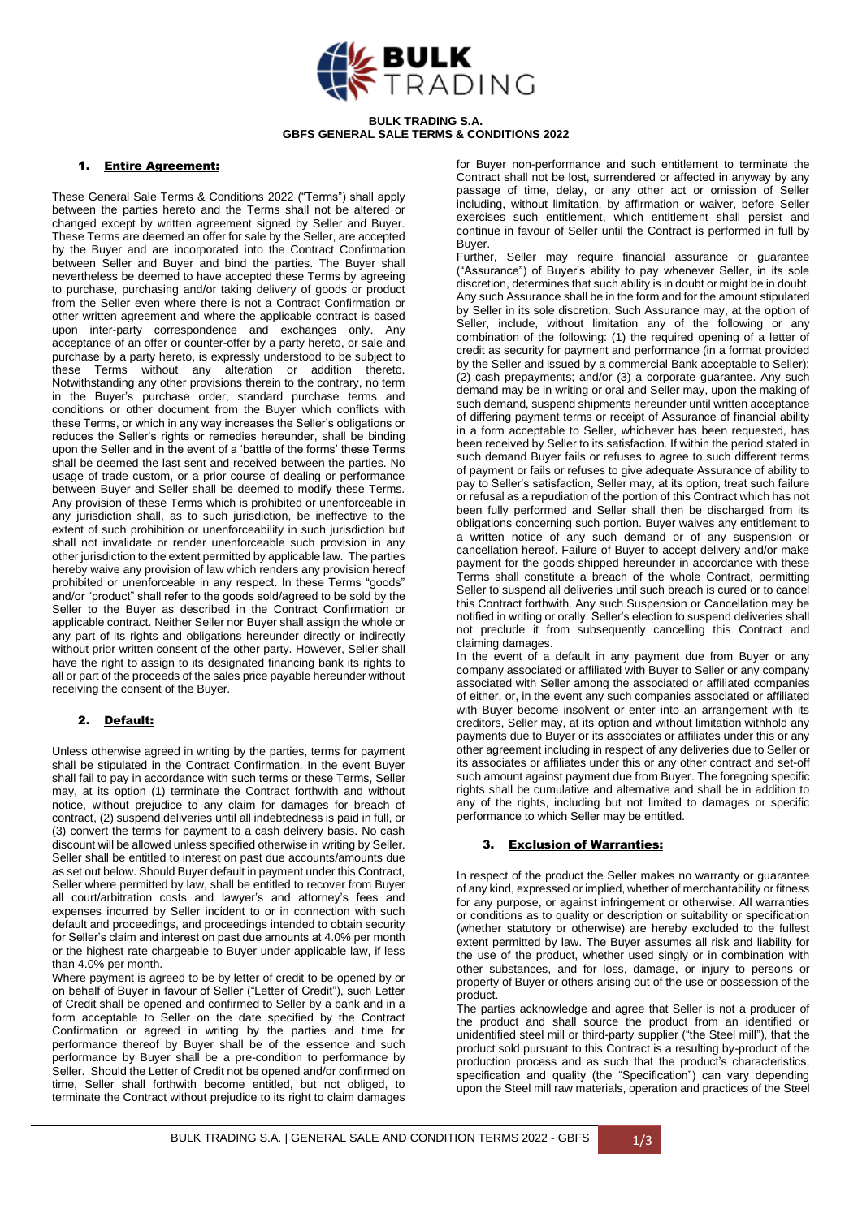

#### **BULK TRADING S.A. GBFS GENERAL SALE TERMS & CONDITIONS 2022**

### 1. Entire Agreement:

These General Sale Terms & Conditions 2022 ("Terms") shall apply between the parties hereto and the Terms shall not be altered or changed except by written agreement signed by Seller and Buyer. These Terms are deemed an offer for sale by the Seller, are accepted by the Buyer and are incorporated into the Contract Confirmation between Seller and Buyer and bind the parties. The Buyer shall nevertheless be deemed to have accepted these Terms by agreeing to purchase, purchasing and/or taking delivery of goods or product from the Seller even where there is not a Contract Confirmation or other written agreement and where the applicable contract is based upon inter-party correspondence and exchanges only. Any acceptance of an offer or counter-offer by a party hereto, or sale and purchase by a party hereto, is expressly understood to be subject to these Terms without any alteration or addition thereto. Notwithstanding any other provisions therein to the contrary, no term in the Buyer's purchase order, standard purchase terms and conditions or other document from the Buyer which conflicts with these Terms, or which in any way increases the Seller's obligations or reduces the Seller's rights or remedies hereunder, shall be binding upon the Seller and in the event of a 'battle of the forms' these Terms shall be deemed the last sent and received between the parties. No usage of trade custom, or a prior course of dealing or performance between Buyer and Seller shall be deemed to modify these Terms. Any provision of these Terms which is prohibited or unenforceable in any jurisdiction shall, as to such jurisdiction, be ineffective to the extent of such prohibition or unenforceability in such jurisdiction but shall not invalidate or render unenforceable such provision in any other jurisdiction to the extent permitted by applicable law. The parties hereby waive any provision of law which renders any provision hereof prohibited or unenforceable in any respect. In these Terms "goods" and/or "product" shall refer to the goods sold/agreed to be sold by the Seller to the Buyer as described in the Contract Confirmation or applicable contract. Neither Seller nor Buyer shall assign the whole or any part of its rights and obligations hereunder directly or indirectly without prior written consent of the other party. However, Seller shall have the right to assign to its designated financing bank its rights to all or part of the proceeds of the sales price payable hereunder without receiving the consent of the Buyer.

## 2. Default:

Unless otherwise agreed in writing by the parties, terms for payment shall be stipulated in the Contract Confirmation. In the event Buyer shall fail to pay in accordance with such terms or these Terms, Seller may, at its option (1) terminate the Contract forthwith and without notice, without prejudice to any claim for damages for breach of contract, (2) suspend deliveries until all indebtedness is paid in full, or (3) convert the terms for payment to a cash delivery basis. No cash discount will be allowed unless specified otherwise in writing by Seller. Seller shall be entitled to interest on past due accounts/amounts due as set out below. Should Buyer default in payment under this Contract, Seller where permitted by law, shall be entitled to recover from Buyer all court/arbitration costs and lawyer's and attorney's fees and expenses incurred by Seller incident to or in connection with such default and proceedings, and proceedings intended to obtain security for Seller's claim and interest on past due amounts at 4.0% per month or the highest rate chargeable to Buyer under applicable law, if less than 4.0% per month.

Where payment is agreed to be by letter of credit to be opened by or on behalf of Buyer in favour of Seller ("Letter of Credit"), such Letter of Credit shall be opened and confirmed to Seller by a bank and in a form acceptable to Seller on the date specified by the Contract Confirmation or agreed in writing by the parties and time for performance thereof by Buyer shall be of the essence and such performance by Buyer shall be a pre-condition to performance by Seller. Should the Letter of Credit not be opened and/or confirmed on time, Seller shall forthwith become entitled, but not obliged, to terminate the Contract without prejudice to its right to claim damages

for Buyer non-performance and such entitlement to terminate the Contract shall not be lost, surrendered or affected in anyway by any passage of time, delay, or any other act or omission of Seller including, without limitation, by affirmation or waiver, before Seller exercises such entitlement, which entitlement shall persist and continue in favour of Seller until the Contract is performed in full by Buyer.

Further, Seller may require financial assurance or guarantee ("Assurance") of Buyer's ability to pay whenever Seller, in its sole discretion, determines that such ability is in doubt or might be in doubt. Any such Assurance shall be in the form and for the amount stipulated by Seller in its sole discretion. Such Assurance may, at the option of Seller, include, without limitation any of the following or any combination of the following: (1) the required opening of a letter of credit as security for payment and performance (in a format provided by the Seller and issued by a commercial Bank acceptable to Seller); (2) cash prepayments; and/or (3) a corporate guarantee. Any such demand may be in writing or oral and Seller may, upon the making of such demand, suspend shipments hereunder until written acceptance of differing payment terms or receipt of Assurance of financial ability in a form acceptable to Seller, whichever has been requested, has been received by Seller to its satisfaction. If within the period stated in such demand Buyer fails or refuses to agree to such different terms of payment or fails or refuses to give adequate Assurance of ability to pay to Seller's satisfaction, Seller may, at its option, treat such failure or refusal as a repudiation of the portion of this Contract which has not been fully performed and Seller shall then be discharged from its obligations concerning such portion. Buyer waives any entitlement to a written notice of any such demand or of any suspension or cancellation hereof. Failure of Buyer to accept delivery and/or make payment for the goods shipped hereunder in accordance with these Terms shall constitute a breach of the whole Contract, permitting Seller to suspend all deliveries until such breach is cured or to cancel this Contract forthwith. Any such Suspension or Cancellation may be notified in writing or orally. Seller's election to suspend deliveries shall not preclude it from subsequently cancelling this Contract and claiming damages.

In the event of a default in any payment due from Buyer or any company associated or affiliated with Buyer to Seller or any company associated with Seller among the associated or affiliated companies of either, or, in the event any such companies associated or affiliated with Buyer become insolvent or enter into an arrangement with its creditors, Seller may, at its option and without limitation withhold any payments due to Buyer or its associates or affiliates under this or any other agreement including in respect of any deliveries due to Seller or its associates or affiliates under this or any other contract and set-off such amount against payment due from Buyer. The foregoing specific rights shall be cumulative and alternative and shall be in addition to any of the rights, including but not limited to damages or specific performance to which Seller may be entitled.

#### 3. Exclusion of Warranties:

In respect of the product the Seller makes no warranty or guarantee of any kind, expressed or implied, whether of merchantability or fitness for any purpose, or against infringement or otherwise. All warranties or conditions as to quality or description or suitability or specification (whether statutory or otherwise) are hereby excluded to the fullest extent permitted by law. The Buyer assumes all risk and liability for the use of the product, whether used singly or in combination with other substances, and for loss, damage, or injury to persons or property of Buyer or others arising out of the use or possession of the product.

The parties acknowledge and agree that Seller is not a producer of the product and shall source the product from an identified or unidentified steel mill or third-party supplier ("the Steel mill"), that the product sold pursuant to this Contract is a resulting by-product of the production process and as such that the product's characteristics, specification and quality (the "Specification") can vary depending upon the Steel mill raw materials, operation and practices of the Steel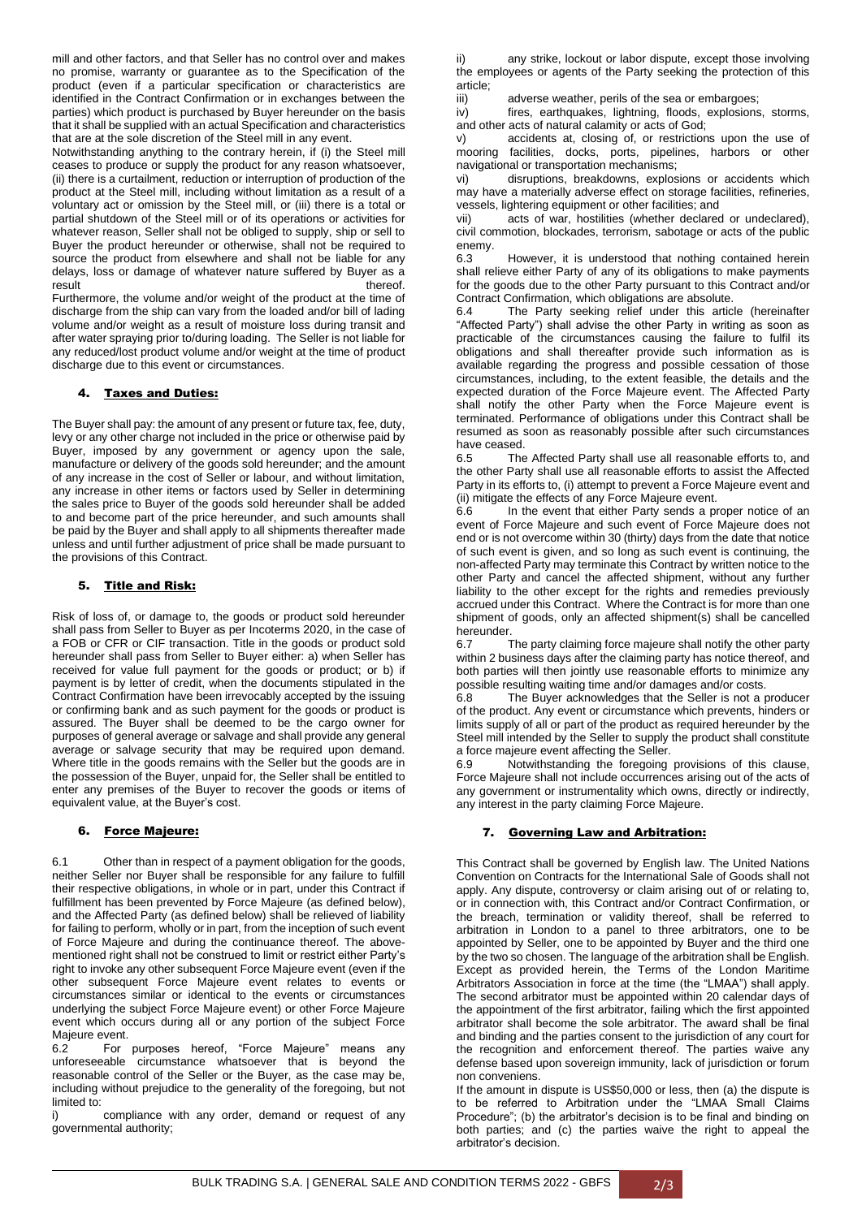mill and other factors, and that Seller has no control over and makes no promise, warranty or guarantee as to the Specification of the product (even if a particular specification or characteristics are identified in the Contract Confirmation or in exchanges between the parties) which product is purchased by Buyer hereunder on the basis that it shall be supplied with an actual Specification and characteristics that are at the sole discretion of the Steel mill in any event.

Notwithstanding anything to the contrary herein, if (i) the Steel mill ceases to produce or supply the product for any reason whatsoever, (ii) there is a curtailment, reduction or interruption of production of the product at the Steel mill, including without limitation as a result of a voluntary act or omission by the Steel mill, or (iii) there is a total or partial shutdown of the Steel mill or of its operations or activities for whatever reason, Seller shall not be obliged to supply, ship or sell to Buyer the product hereunder or otherwise, shall not be required to source the product from elsewhere and shall not be liable for any delays, loss or damage of whatever nature suffered by Buyer as a result thereof.

Furthermore, the volume and/or weight of the product at the time of discharge from the ship can vary from the loaded and/or bill of lading volume and/or weight as a result of moisture loss during transit and after water spraying prior to/during loading. The Seller is not liable for any reduced/lost product volume and/or weight at the time of product discharge due to this event or circumstances.

## 4. Taxes and Duties:

The Buyer shall pay: the amount of any present or future tax, fee, duty, levy or any other charge not included in the price or otherwise paid by Buyer, imposed by any government or agency upon the sale, manufacture or delivery of the goods sold hereunder; and the amount of any increase in the cost of Seller or labour, and without limitation, any increase in other items or factors used by Seller in determining the sales price to Buyer of the goods sold hereunder shall be added to and become part of the price hereunder, and such amounts shall be paid by the Buyer and shall apply to all shipments thereafter made unless and until further adjustment of price shall be made pursuant to the provisions of this Contract.

#### 5. Title and Risk:

Risk of loss of, or damage to, the goods or product sold hereunder shall pass from Seller to Buyer as per Incoterms 2020, in the case of a FOB or CFR or CIF transaction. Title in the goods or product sold hereunder shall pass from Seller to Buyer either: a) when Seller has received for value full payment for the goods or product; or b) if payment is by letter of credit, when the documents stipulated in the Contract Confirmation have been irrevocably accepted by the issuing or confirming bank and as such payment for the goods or product is assured. The Buyer shall be deemed to be the cargo owner for purposes of general average or salvage and shall provide any general average or salvage security that may be required upon demand. Where title in the goods remains with the Seller but the goods are in the possession of the Buyer, unpaid for, the Seller shall be entitled to enter any premises of the Buyer to recover the goods or items of equivalent value, at the Buyer's cost.

#### 6. Force Majeure:

6.1 Other than in respect of a payment obligation for the goods, neither Seller nor Buyer shall be responsible for any failure to fulfill their respective obligations, in whole or in part, under this Contract if fulfillment has been prevented by Force Majeure (as defined below), and the Affected Party (as defined below) shall be relieved of liability for failing to perform, wholly or in part, from the inception of such event of Force Majeure and during the continuance thereof. The abovementioned right shall not be construed to limit or restrict either Party's right to invoke any other subsequent Force Majeure event (even if the other subsequent Force Majeure event relates to events or circumstances similar or identical to the events or circumstances underlying the subject Force Majeure event) or other Force Majeure event which occurs during all or any portion of the subject Force Majeure event.

6.2 For purposes hereof, "Force Majeure" means any unforeseeable circumstance whatsoever that is beyond the reasonable control of the Seller or the Buyer, as the case may be, including without prejudice to the generality of the foregoing, but not limited to:

i) compliance with any order, demand or request of any governmental authority;

ii) any strike, lockout or labor dispute, except those involving the employees or agents of the Party seeking the protection of this article;

iii) adverse weather, perils of the sea or embargoes;

iv) fires, earthquakes, lightning, floods, explosions, storms, and other acts of natural calamity or acts of God;

v) accidents at, closing of, or restrictions upon the use of mooring facilities, docks, ports, pipelines, harbors or other navigational or transportation mechanisms;

vi) disruptions, breakdowns, explosions or accidents which may have a materially adverse effect on storage facilities, refineries, vessels, lightering equipment or other facilities; and

vii) acts of war, hostilities (whether declared or undeclared), civil commotion, blockades, terrorism, sabotage or acts of the public enemy.

6.3 However, it is understood that nothing contained herein shall relieve either Party of any of its obligations to make payments for the goods due to the other Party pursuant to this Contract and/or Contract Confirmation, which obligations are absolute.

6.4 The Party seeking relief under this article (hereinafter "Affected Party") shall advise the other Party in writing as soon as practicable of the circumstances causing the failure to fulfil its obligations and shall thereafter provide such information as is available regarding the progress and possible cessation of those circumstances, including, to the extent feasible, the details and the expected duration of the Force Majeure event. The Affected Party shall notify the other Party when the Force Majeure event is terminated. Performance of obligations under this Contract shall be resumed as soon as reasonably possible after such circumstances have ceased.

6.5 The Affected Party shall use all reasonable efforts to, and the other Party shall use all reasonable efforts to assist the Affected Party in its efforts to, (i) attempt to prevent a Force Majeure event and (ii) mitigate the effects of any Force Majeure event.<br>6.6  $\overline{a}$  In the event that either Party sends a pro-

In the event that either Party sends a proper notice of an event of Force Majeure and such event of Force Majeure does not end or is not overcome within 30 (thirty) days from the date that notice of such event is given, and so long as such event is continuing, the non-affected Party may terminate this Contract by written notice to the other Party and cancel the affected shipment, without any further liability to the other except for the rights and remedies previously accrued under this Contract. Where the Contract is for more than one shipment of goods, only an affected shipment(s) shall be cancelled hereunder.

6.7 The party claiming force majeure shall notify the other party within 2 business days after the claiming party has notice thereof, and both parties will then jointly use reasonable efforts to minimize any possible resulting waiting time and/or damages and/or costs.

6.8 The Buyer acknowledges that the Seller is not a producer of the product. Any event or circumstance which prevents, hinders or limits supply of all or part of the product as required hereunder by the Steel mill intended by the Seller to supply the product shall constitute a force majeure event affecting the Seller.

6.9 Notwithstanding the foregoing provisions of this clause, Force Majeure shall not include occurrences arising out of the acts of any government or instrumentality which owns, directly or indirectly, any interest in the party claiming Force Majeure.

### 7. Governing Law and Arbitration:

This Contract shall be governed by English law. The United Nations Convention on Contracts for the International Sale of Goods shall not apply. Any dispute, controversy or claim arising out of or relating to, or in connection with, this Contract and/or Contract Confirmation, or the breach, termination or validity thereof, shall be referred to arbitration in London to a panel to three arbitrators, one to be appointed by Seller, one to be appointed by Buyer and the third one by the two so chosen. The language of the arbitration shall be English. Except as provided herein, the Terms of the London Maritime Arbitrators Association in force at the time (the "LMAA") shall apply. The second arbitrator must be appointed within 20 calendar days of the appointment of the first arbitrator, failing which the first appointed arbitrator shall become the sole arbitrator. The award shall be final and binding and the parties consent to the jurisdiction of any court for the recognition and enforcement thereof. The parties waive any defense based upon sovereign immunity, lack of jurisdiction or forum non conveniens.

If the amount in dispute is US\$50,000 or less, then (a) the dispute is to be referred to Arbitration under the "LMAA Small Claims Procedure"; (b) the arbitrator's decision is to be final and binding on both parties; and (c) the parties waive the right to appeal the arbitrator's decision.